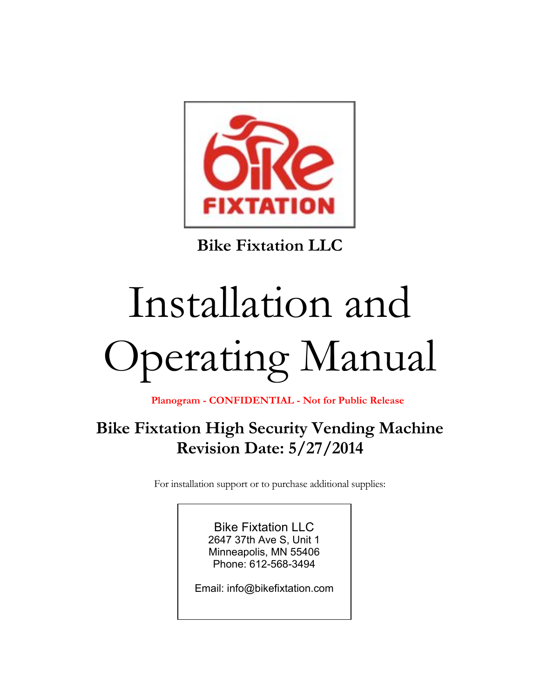

**Bike Fixtation LLC**

# Installation and Operating Manual

**Planogram - CONFIDENTIAL - Not for Public Release**

# **Bike Fixtation High Security Vending Machine Revision Date: 5/27/2014**

For installation support or to purchase additional supplies:

Bike Fixtation LLC 2647 37th Ave S, Unit 1 Minneapolis, MN 55406 Phone: 612-568-3494

Email: info@bikefixtation.com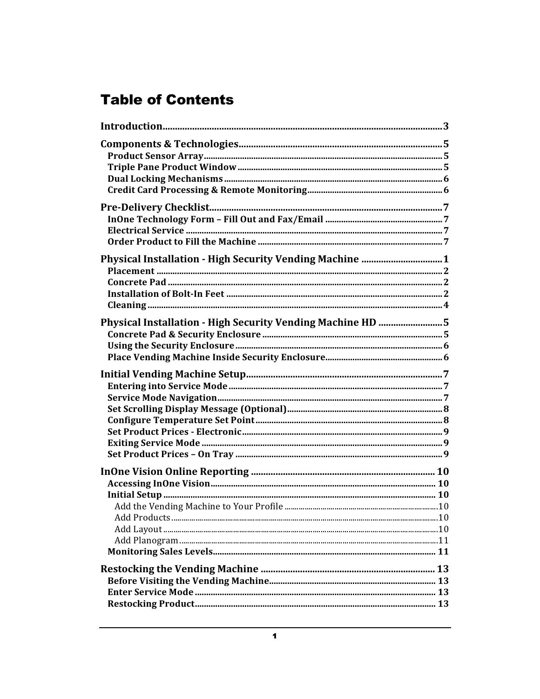# **Table of Contents**

| Physical Installation - High Security Vending Machine  1   |  |
|------------------------------------------------------------|--|
| Physical Installation - High Security Vending Machine HD 5 |  |
|                                                            |  |
|                                                            |  |
|                                                            |  |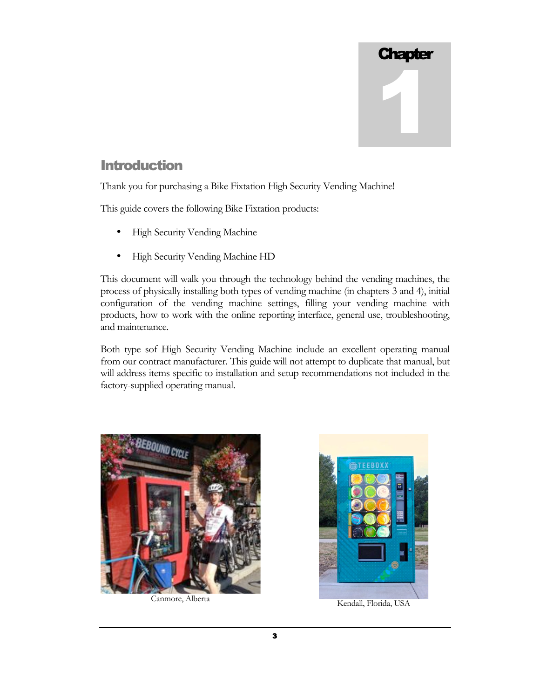

# **Introduction**

Thank you for purchasing a Bike Fixtation High Security Vending Machine!

This guide covers the following Bike Fixtation products:

- High Security Vending Machine
- High Security Vending Machine HD

This document will walk you through the technology behind the vending machines, the process of physically installing both types of vending machine (in chapters 3 and 4), initial configuration of the vending machine settings, filling your vending machine with products, how to work with the online reporting interface, general use, troubleshooting, and maintenance.

Both type sof High Security Vending Machine include an excellent operating manual from our contract manufacturer. This guide will not attempt to duplicate that manual, but will address items specific to installation and setup recommendations not included in the factory-supplied operating manual.



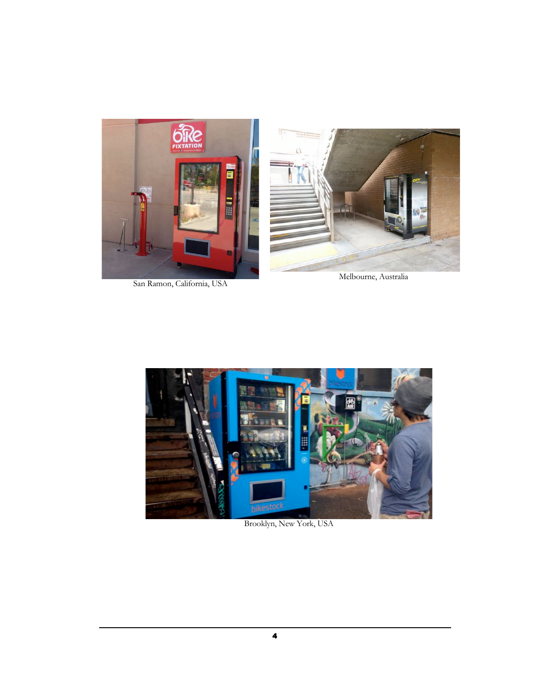

San Ramon, California, USA

Melbourne, Australia



Brooklyn, New York, USA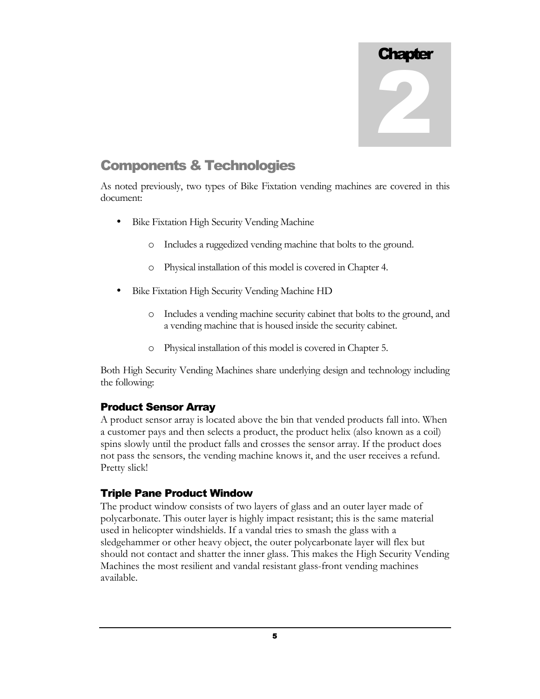

# Components & Technologies

As noted previously, two types of Bike Fixtation vending machines are covered in this document:

- Bike Fixtation High Security Vending Machine
	- o Includes a ruggedized vending machine that bolts to the ground.
	- o Physical installation of this model is covered in Chapter 4.
- Bike Fixtation High Security Vending Machine HD
	- o Includes a vending machine security cabinet that bolts to the ground, and a vending machine that is housed inside the security cabinet.
	- o Physical installation of this model is covered in Chapter 5.

Both High Security Vending Machines share underlying design and technology including the following:

# Product Sensor Array

A product sensor array is located above the bin that vended products fall into. When a customer pays and then selects a product, the product helix (also known as a coil) spins slowly until the product falls and crosses the sensor array. If the product does not pass the sensors, the vending machine knows it, and the user receives a refund. Pretty slick!

# Triple Pane Product Window

The product window consists of two layers of glass and an outer layer made of polycarbonate. This outer layer is highly impact resistant; this is the same material used in helicopter windshields. If a vandal tries to smash the glass with a sledgehammer or other heavy object, the outer polycarbonate layer will flex but should not contact and shatter the inner glass. This makes the High Security Vending Machines the most resilient and vandal resistant glass-front vending machines available.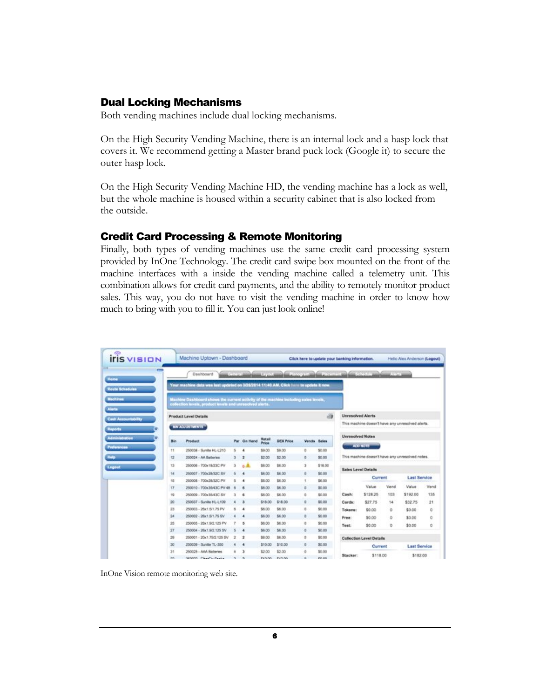## Dual Locking Mechanisms

Both vending machines include dual locking mechanisms.

On the High Security Vending Machine, there is an internal lock and a hasp lock that covers it. We recommend getting a Master brand puck lock (Google it) to secure the outer hasp lock.

On the High Security Vending Machine HD, the vending machine has a lock as well, but the whole machine is housed within a security cabinet that is also locked from the outside.

## Credit Card Processing & Remote Monitoring

Finally, both types of vending machines use the same credit card processing system provided by InOne Technology. The credit card swipe box mounted on the front of the machine interfaces with a inside the vending machine called a telemetry unit. This combination allows for credit card payments, and the ability to remotely monitor product sales. This way, you do not have to visit the vending machine in order to know how much to bring with you to fill it. You can just look online!

| $\equiv$                                   |                        | Dashboard                                                                                 |              | <b>Contract installation Processi</b> |                 | and the purpose in the first province |             |         |                          |                                 | <b>All Sellings</b> |                                                  |      |  |  |  |
|--------------------------------------------|------------------------|-------------------------------------------------------------------------------------------|--------------|---------------------------------------|-----------------|---------------------------------------|-------------|---------|--------------------------|---------------------------------|---------------------|--------------------------------------------------|------|--|--|--|
| <b>Home</b>                                |                        | Your machine data was last updated on 3/26/2014 11:40 AM, CScS here to update it now.     |              |                                       |                 |                                       |             |         |                          |                                 |                     |                                                  |      |  |  |  |
| Route Schedules<br><b>Machines</b>         |                        | Machine Dashboard shows the current activity of the machine including sales levels,       |              |                                       |                 |                                       |             |         |                          |                                 |                     |                                                  |      |  |  |  |
| Alerta                                     |                        | collection levels, product levels and unresolved sierts."<br><b>Product Level Details</b> |              |                                       |                 |                                       |             | d9      | <b>Unresolved Alerts</b> |                                 |                     |                                                  |      |  |  |  |
| <b>Cash Accountability</b><br>Reports<br>٠ | <b>BIN ADJUSTMENTS</b> |                                                                                           |              |                                       |                 |                                       |             |         |                          |                                 |                     | This machine doesn't have any unresolved alerts. |      |  |  |  |
| <b>Administration</b><br>٠                 | <b>Bin</b>             | Product                                                                                   |              | Par On Hand                           | Rotall<br>Price | <b>DEX Price</b>                      | Vends Sales |         | <b>Unresolved Notes</b>  |                                 |                     |                                                  |      |  |  |  |
| Preferences                                | 11                     | 250038 - Sunite HL-L210                                                                   | s            |                                       | \$9.00          | \$9.00                                | ö           | \$0.00  |                          | <b>ADD NOTE</b>                 |                     |                                                  |      |  |  |  |
| Help                                       | 12                     | 250024 - AA Batteries                                                                     | з            | 2                                     | \$2.00          | \$2.00                                | ø           | \$0.00  |                          |                                 |                     | This machine doesn't have any unresolved notes.  |      |  |  |  |
| Logout                                     | 13                     | 250006 - 700x18/23C PV                                                                    | э            | 6.41                                  | \$6.00          | \$6.00                                | s           | \$18.00 |                          |                                 |                     |                                                  |      |  |  |  |
|                                            | 14                     | 250007 - 700x28/32C SV                                                                    | ×            | $\overline{a}$                        | \$6.00          | \$6.00                                | ö           | \$0.00  | Sales Level Details      |                                 |                     |                                                  |      |  |  |  |
|                                            | 15                     | 250008 - 700x28/32C PV                                                                    | 5            | ٠                                     | \$6.00          | \$6.00                                | q.          | \$6.00  |                          | Current                         |                     | <b>Last Service</b>                              |      |  |  |  |
|                                            | 17                     | 250010 - 700x35/43C PV 48                                                                 | и            | ٠                                     | \$6.00          | \$6.00                                | a           | \$0.00  |                          | Value                           | <b>Vend</b>         | Value                                            | Vend |  |  |  |
|                                            | 19                     | 250009 - 700x35/43C SV                                                                    | $\mathbf{3}$ | e                                     | \$6.00          | \$6.00                                | ä           | \$0.00  | Cash:                    | \$128.25                        | 103                 | \$192.00                                         | 135  |  |  |  |
|                                            | 20                     | 250037 - Sunite HL-L109                                                                   | ٠            | э                                     | \$18.00         | \$18.00                               | o           | \$0.00  | Cards:                   | \$27.75                         | 14                  | \$32.75                                          | 21   |  |  |  |
|                                            | 23                     | 250003 - 26x1.5/1.75 PV                                                                   | 6            | 4                                     | \$6.00          | \$6.00                                | ¢.          | \$0.00  | Tokens:                  | \$0.00                          | ۰                   | \$0.00                                           | o    |  |  |  |
|                                            | 24                     | 250002 - 26x1.5/1.75 SV                                                                   |              | ٠                                     | \$6.00          | \$6.00                                | ø           | \$0.00  | Free:                    | \$0.00                          | ō                   | \$0.00                                           | 0    |  |  |  |
|                                            | 25                     | 250005 - 26x1 9/2 125 PV                                                                  |              | s                                     | \$6.00          | \$6.00                                | ٠           | \$0.00  | Test:                    | \$0.00                          | ۰                   | \$0.00                                           | o    |  |  |  |
|                                            | 27                     | 250004 - 26x1.9/2.125.5V                                                                  | ñ            | ٠                                     | \$6.00          | \$6.00                                | ٠           | \$0.00  |                          |                                 |                     |                                                  |      |  |  |  |
|                                            | 29                     | 250001 - 20x1.75/2.125.8V                                                                 | z            | ż                                     | \$6.00          | \$6.00                                | a           | \$0.00  |                          | <b>Collection Level Details</b> |                     |                                                  |      |  |  |  |
|                                            | 30 <sub>1</sub>        | 250039 - Sunita TL-350                                                                    |              | ٠                                     | \$10.00         | \$10.00                               | s           | \$0.00  |                          | Current                         |                     | <b>Last Service</b>                              |      |  |  |  |
|                                            | 31                     | 250025 - AAA Batteries                                                                    | ٠            | а                                     | \$2.00          | \$2.00                                | õ           | \$0.00  | Stacker:                 | \$118.00                        |                     | \$182.00                                         |      |  |  |  |
|                                            |                        |                                                                                           |              |                                       |                 |                                       |             |         |                          |                                 |                     |                                                  |      |  |  |  |

InOne Vision remote monitoring web site.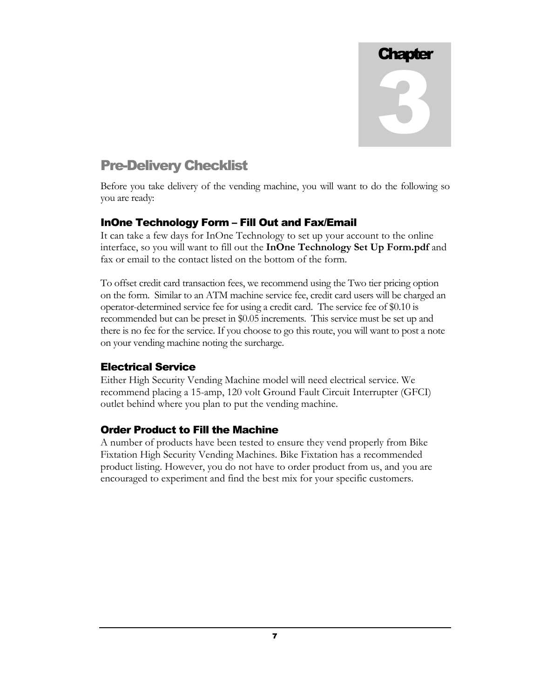

# Pre-Delivery Checklist

Before you take delivery of the vending machine, you will want to do the following so you are ready:

## InOne Technology Form – Fill Out and Fax/Email

It can take a few days for InOne Technology to set up your account to the online interface, so you will want to fill out the **InOne Technology Set Up Form.pdf** and fax or email to the contact listed on the bottom of the form.

To offset credit card transaction fees, we recommend using the Two tier pricing option on the form. Similar to an ATM machine service fee, credit card users will be charged an operator-determined service fee for using a credit card. The service fee of \$0.10 is recommended but can be preset in \$0.05 increments. This service must be set up and there is no fee for the service. If you choose to go this route, you will want to post a note on your vending machine noting the surcharge.

## Electrical Service

Either High Security Vending Machine model will need electrical service. We recommend placing a 15-amp, 120 volt Ground Fault Circuit Interrupter (GFCI) outlet behind where you plan to put the vending machine.

## Order Product to Fill the Machine

A number of products have been tested to ensure they vend properly from Bike Fixtation High Security Vending Machines. Bike Fixtation has a recommended product listing. However, you do not have to order product from us, and you are encouraged to experiment and find the best mix for your specific customers.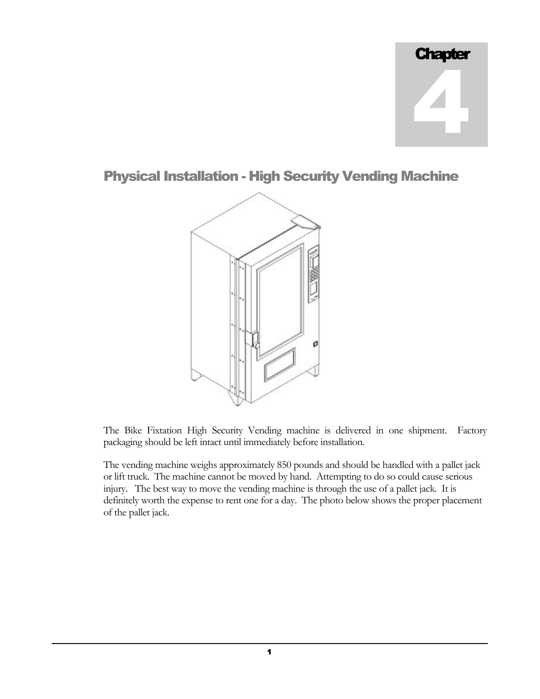

Physical Installation - High Security Vending Machine



The Bike Fixtation High Security Vending machine is delivered in one shipment. Factory packaging should be left intact until immediately before installation.

The vending machine weighs approximately 850 pounds and should be handled with a pallet jack or lift truck. The machine cannot be moved by hand. Attempting to do so could cause serious injury. The best way to move the vending machine is through the use of a pallet jack. It is definitely worth the expense to rent one for a day. The photo below shows the proper placement of the pallet jack.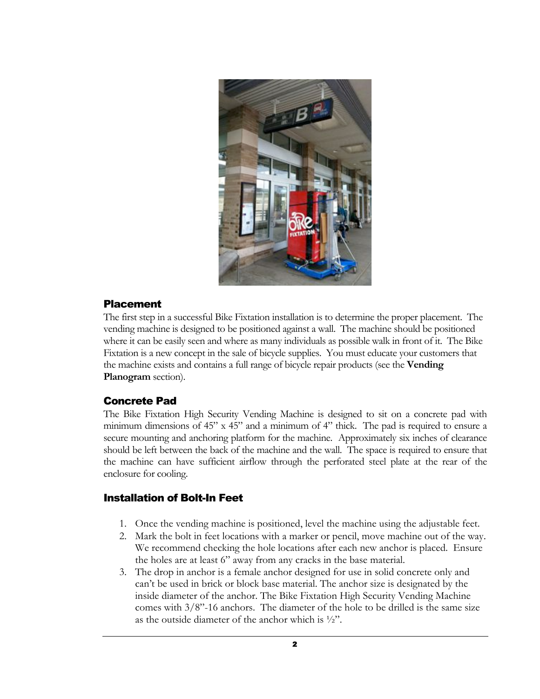

#### Placement

The first step in a successful Bike Fixtation installation is to determine the proper placement. The vending machine is designed to be positioned against a wall. The machine should be positioned where it can be easily seen and where as many individuals as possible walk in front of it. The Bike Fixtation is a new concept in the sale of bicycle supplies. You must educate your customers that the machine exists and contains a full range of bicycle repair products (see the **Vending Planogram** section).

## Concrete Pad

The Bike Fixtation High Security Vending Machine is designed to sit on a concrete pad with minimum dimensions of 45" x 45" and a minimum of 4" thick. The pad is required to ensure a secure mounting and anchoring platform for the machine. Approximately six inches of clearance should be left between the back of the machine and the wall. The space is required to ensure that the machine can have sufficient airflow through the perforated steel plate at the rear of the enclosure for cooling.

## Installation of Bolt-In Feet

- 1. Once the vending machine is positioned, level the machine using the adjustable feet.
- 2. Mark the bolt in feet locations with a marker or pencil, move machine out of the way. We recommend checking the hole locations after each new anchor is placed. Ensure the holes are at least 6" away from any cracks in the base material.
- 3. The drop in anchor is a female anchor designed for use in solid concrete only and can't be used in brick or block base material. The anchor size is designated by the inside diameter of the anchor. The Bike Fixtation High Security Vending Machine comes with 3/8"-16 anchors. The diameter of the hole to be drilled is the same size as the outside diameter of the anchor which is ½".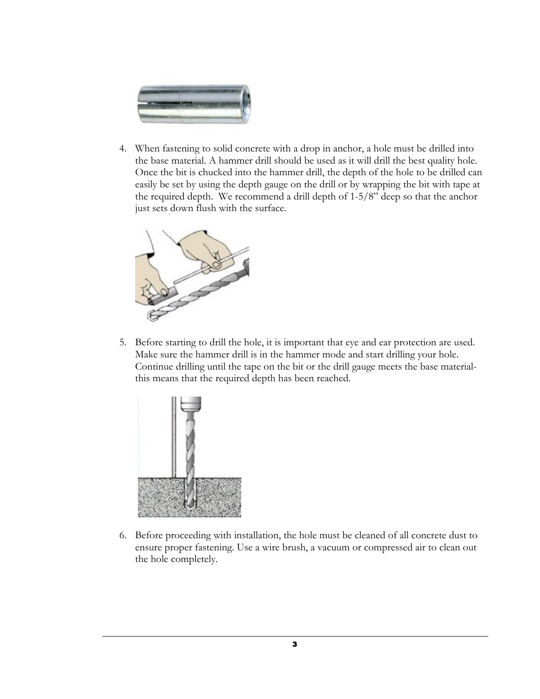

4. When fastening to solid concrete with a drop in anchor, a hole must be drilled into the base material. A hammer drill should be used as it will drill the best quality hole. Once the bit is chucked into the hammer drill, the depth of the hole to be drilled can easily be set by using the depth gauge on the drill or by wrapping the bit with tape at the required depth. We recommend a drill depth of 1-5/8" deep so that the anchor just sets down flush with the surface.



5. Before starting to drill the hole, it is important that eye and ear protection are used. Make sure the hammer drill is in the hammer mode and start drilling your hole. Continue drilling until the tape on the bit or the drill gauge meets the base materialthis means that the required depth has been reached.



6. Before proceeding with installation, the hole must be cleaned of all concrete dust to ensure proper fastening. Use a wire brush, a vacuum or compressed air to clean out the hole completely.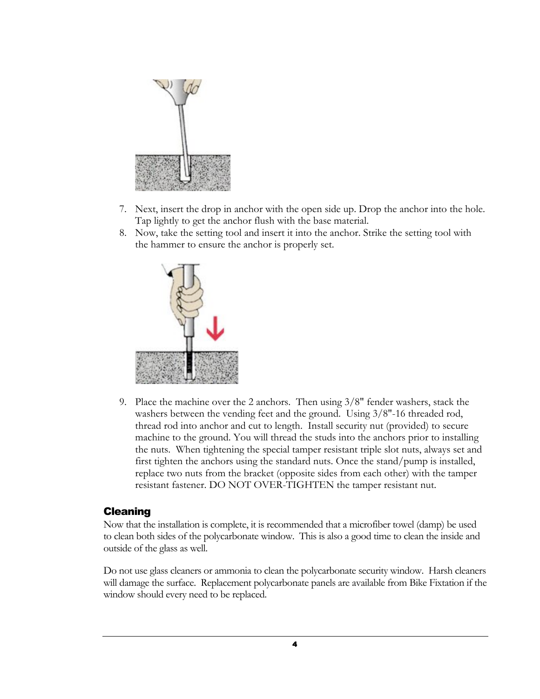

- 7. Next, insert the drop in anchor with the open side up. Drop the anchor into the hole. Tap lightly to get the anchor flush with the base material.
- 8. Now, take the setting tool and insert it into the anchor. Strike the setting tool with the hammer to ensure the anchor is properly set.



9. Place the machine over the 2 anchors. Then using 3/8" fender washers, stack the washers between the vending feet and the ground. Using 3/8"-16 threaded rod, thread rod into anchor and cut to length. Install security nut (provided) to secure machine to the ground. You will thread the studs into the anchors prior to installing the nuts. When tightening the special tamper resistant triple slot nuts, always set and first tighten the anchors using the standard nuts. Once the stand/pump is installed, replace two nuts from the bracket (opposite sides from each other) with the tamper resistant fastener. DO NOT OVER-TIGHTEN the tamper resistant nut.

## Cleaning

Now that the installation is complete, it is recommended that a microfiber towel (damp) be used to clean both sides of the polycarbonate window. This is also a good time to clean the inside and outside of the glass as well.

Do not use glass cleaners or ammonia to clean the polycarbonate security window. Harsh cleaners will damage the surface. Replacement polycarbonate panels are available from Bike Fixtation if the window should every need to be replaced.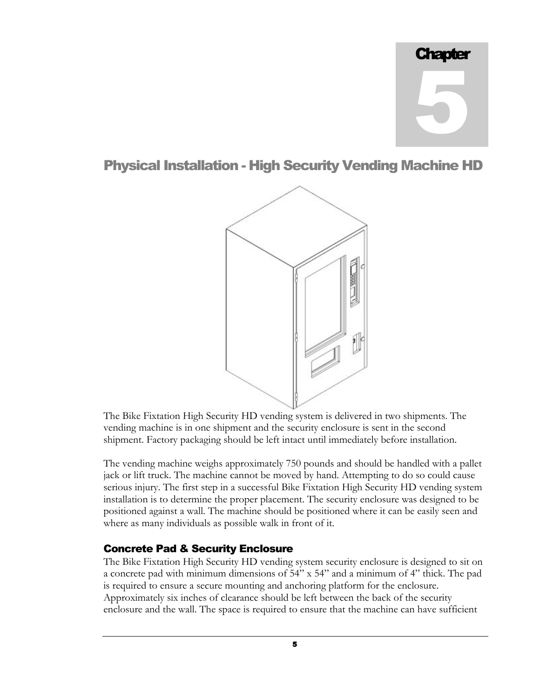# Physical Installation - High Security Vending Machine HD



The Bike Fixtation High Security HD vending system is delivered in two shipments. The vending machine is in one shipment and the security enclosure is sent in the second shipment. Factory packaging should be left intact until immediately before installation.

The vending machine weighs approximately 750 pounds and should be handled with a pallet jack or lift truck. The machine cannot be moved by hand. Attempting to do so could cause serious injury. The first step in a successful Bike Fixtation High Security HD vending system installation is to determine the proper placement. The security enclosure was designed to be positioned against a wall. The machine should be positioned where it can be easily seen and where as many individuals as possible walk in front of it.

# Concrete Pad & Security Enclosure

The Bike Fixtation High Security HD vending system security enclosure is designed to sit on a concrete pad with minimum dimensions of 54" x 54" and a minimum of 4" thick. The pad is required to ensure a secure mounting and anchoring platform for the enclosure. Approximately six inches of clearance should be left between the back of the security enclosure and the wall. The space is required to ensure that the machine can have sufficient

5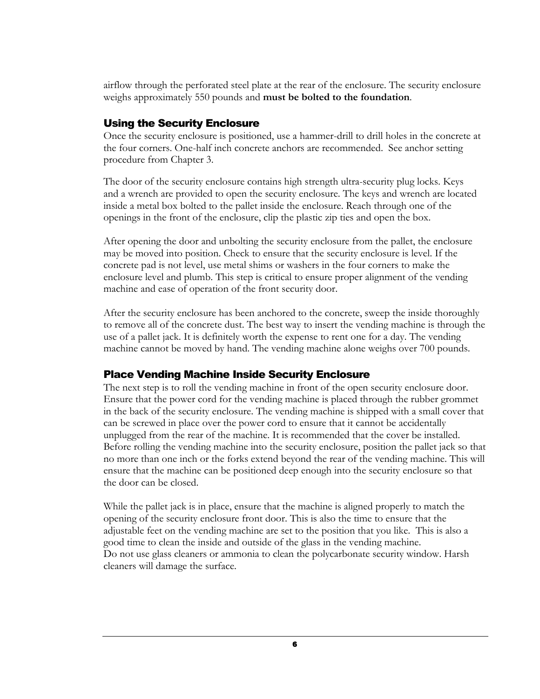airflow through the perforated steel plate at the rear of the enclosure. The security enclosure weighs approximately 550 pounds and **must be bolted to the foundation**.

# Using the Security Enclosure

Once the security enclosure is positioned, use a hammer-drill to drill holes in the concrete at the four corners. One-half inch concrete anchors are recommended. See anchor setting procedure from Chapter 3.

The door of the security enclosure contains high strength ultra-security plug locks. Keys and a wrench are provided to open the security enclosure. The keys and wrench are located inside a metal box bolted to the pallet inside the enclosure. Reach through one of the openings in the front of the enclosure, clip the plastic zip ties and open the box.

After opening the door and unbolting the security enclosure from the pallet, the enclosure may be moved into position. Check to ensure that the security enclosure is level. If the concrete pad is not level, use metal shims or washers in the four corners to make the enclosure level and plumb. This step is critical to ensure proper alignment of the vending machine and ease of operation of the front security door.

After the security enclosure has been anchored to the concrete, sweep the inside thoroughly to remove all of the concrete dust. The best way to insert the vending machine is through the use of a pallet jack. It is definitely worth the expense to rent one for a day. The vending machine cannot be moved by hand. The vending machine alone weighs over 700 pounds.

## Place Vending Machine Inside Security Enclosure

The next step is to roll the vending machine in front of the open security enclosure door. Ensure that the power cord for the vending machine is placed through the rubber grommet in the back of the security enclosure. The vending machine is shipped with a small cover that can be screwed in place over the power cord to ensure that it cannot be accidentally unplugged from the rear of the machine. It is recommended that the cover be installed. Before rolling the vending machine into the security enclosure, position the pallet jack so that no more than one inch or the forks extend beyond the rear of the vending machine. This will ensure that the machine can be positioned deep enough into the security enclosure so that the door can be closed.

While the pallet jack is in place, ensure that the machine is aligned properly to match the opening of the security enclosure front door. This is also the time to ensure that the adjustable feet on the vending machine are set to the position that you like. This is also a good time to clean the inside and outside of the glass in the vending machine. Do not use glass cleaners or ammonia to clean the polycarbonate security window. Harsh cleaners will damage the surface.

6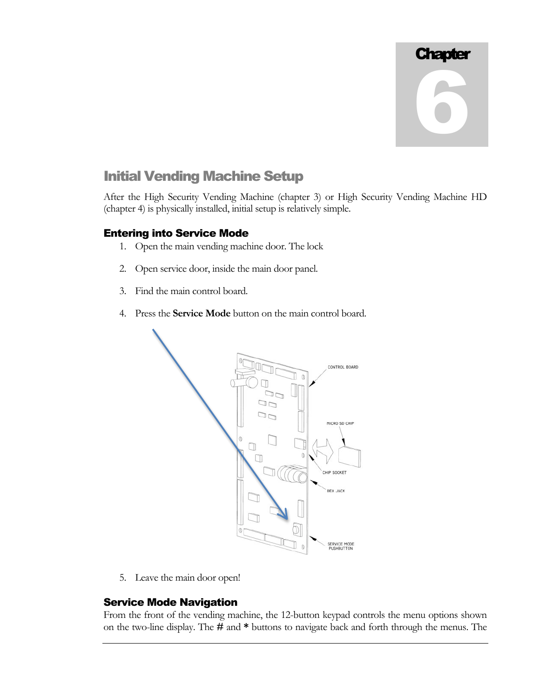# Initial Vending Machine Setup

After the High Security Vending Machine (chapter 3) or High Security Vending Machine HD (chapter 4) is physically installed, initial setup is relatively simple.

# Entering into Service Mode

- 1. Open the main vending machine door. The lock
- 2. Open service door, inside the main door panel.
- 3. Find the main control board.
- 4. Press the **Service Mode** button on the main control board.



5. Leave the main door open!

# Service Mode Navigation

From the front of the vending machine, the 12-button keypad controls the menu options shown on the two-line display. The **#** and **\*** buttons to navigate back and forth through the menus. The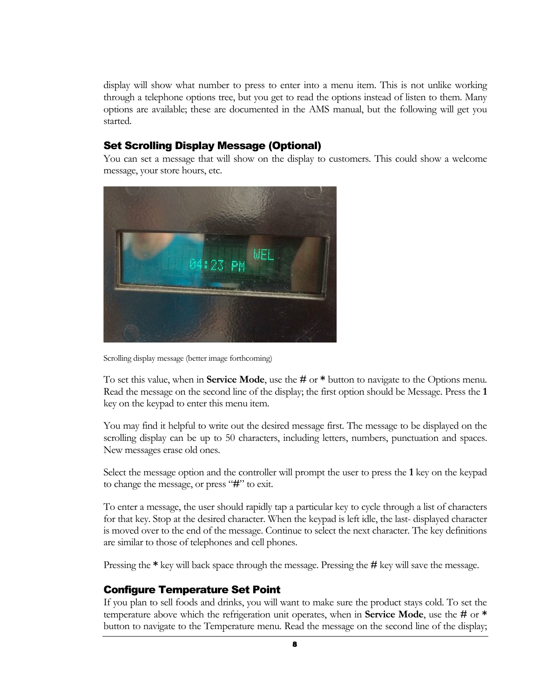display will show what number to press to enter into a menu item. This is not unlike working through a telephone options tree, but you get to read the options instead of listen to them. Many options are available; these are documented in the AMS manual, but the following will get you started.

#### Set Scrolling Display Message (Optional)

You can set a message that will show on the display to customers. This could show a welcome message, your store hours, etc.



Scrolling display message (better image forthcoming)

To set this value, when in **Service Mode**, use the **#** or **\*** button to navigate to the Options menu. Read the message on the second line of the display; the first option should be Message. Press the **1** key on the keypad to enter this menu item.

You may find it helpful to write out the desired message first. The message to be displayed on the scrolling display can be up to 50 characters, including letters, numbers, punctuation and spaces. New messages erase old ones.

Select the message option and the controller will prompt the user to press the **1** key on the keypad to change the message, or press "**#**" to exit.

To enter a message, the user should rapidly tap a particular key to cycle through a list of characters for that key. Stop at the desired character. When the keypad is left idle, the last- displayed character is moved over to the end of the message. Continue to select the next character. The key definitions are similar to those of telephones and cell phones.

Pressing the **\*** key will back space through the message. Pressing the **#** key will save the message.

#### Configure Temperature Set Point

If you plan to sell foods and drinks, you will want to make sure the product stays cold. To set the temperature above which the refrigeration unit operates, when in **Service Mode**, use the **#** or **\*** button to navigate to the Temperature menu. Read the message on the second line of the display;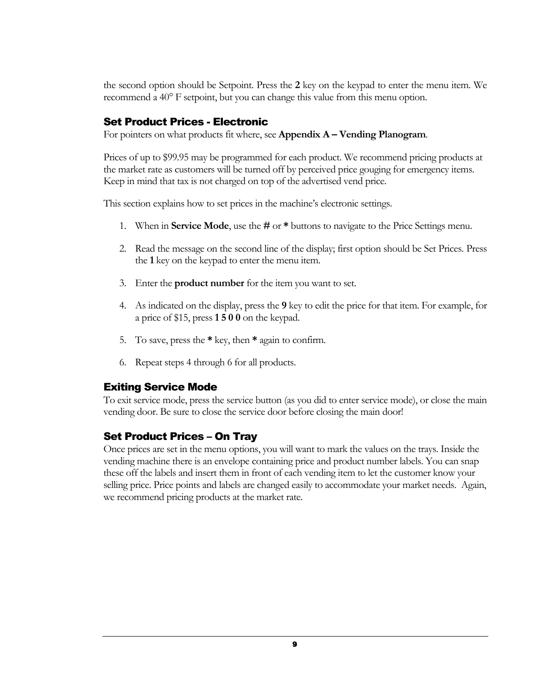the second option should be Setpoint. Press the **2** key on the keypad to enter the menu item. We recommend a 40° F setpoint, but you can change this value from this menu option.

## Set Product Prices - Electronic

For pointers on what products fit where, see **Appendix A – Vending Planogram**.

Prices of up to \$99.95 may be programmed for each product. We recommend pricing products at the market rate as customers will be turned off by perceived price gouging for emergency items. Keep in mind that tax is not charged on top of the advertised vend price.

This section explains how to set prices in the machine's electronic settings.

- 1. When in **Service Mode**, use the **#** or **\*** buttons to navigate to the Price Settings menu.
- 2. Read the message on the second line of the display; first option should be Set Prices. Press the **1** key on the keypad to enter the menu item.
- 3. Enter the **product number** for the item you want to set.
- 4. As indicated on the display, press the **9** key to edit the price for that item. For example, for a price of \$15, press **1 5 0 0** on the keypad.
- 5. To save, press the **\*** key, then **\*** again to confirm.
- 6. Repeat steps 4 through 6 for all products.

# Exiting Service Mode

To exit service mode, press the service button (as you did to enter service mode), or close the main vending door. Be sure to close the service door before closing the main door!

# Set Product Prices – On Tray

Once prices are set in the menu options, you will want to mark the values on the trays. Inside the vending machine there is an envelope containing price and product number labels. You can snap these off the labels and insert them in front of each vending item to let the customer know your selling price. Price points and labels are changed easily to accommodate your market needs. Again, we recommend pricing products at the market rate.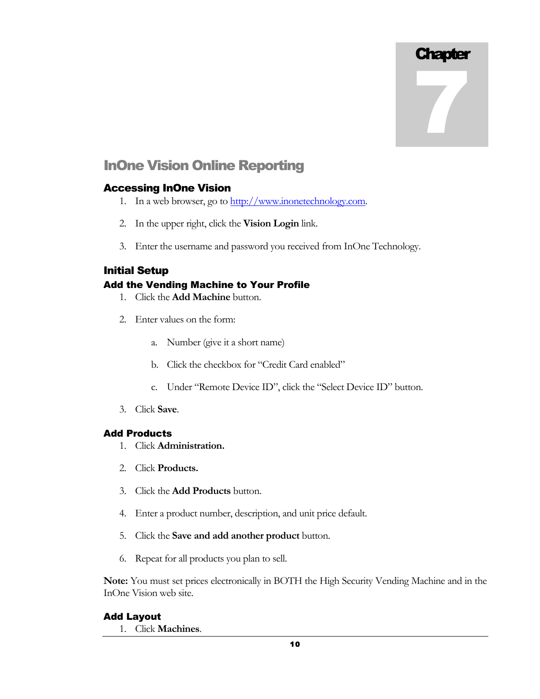7

# InOne Vision Online Reporting

#### Accessing InOne Vision

- 1. In a web browser, go to http://www.inonetechnology.com.
- 2. In the upper right, click the **Vision Login** link.
- 3. Enter the username and password you received from InOne Technology.

#### Initial Setup

#### Add the Vending Machine to Your Profile

- 1. Click the **Add Machine** button.
- 2. Enter values on the form:
	- a. Number (give it a short name)
	- b. Click the checkbox for "Credit Card enabled"
	- c. Under "Remote Device ID", click the "Select Device ID" button.
- 3. Click **Save**.

#### Add Products

- 1. Click **Administration.**
- 2. Click **Products.**
- 3. Click the **Add Products** button.
- 4. Enter a product number, description, and unit price default.
- 5. Click the **Save and add another product** button.
- 6. Repeat for all products you plan to sell.

**Note:** You must set prices electronically in BOTH the High Security Vending Machine and in the InOne Vision web site.

#### Add Layout

1. Click **Machines**.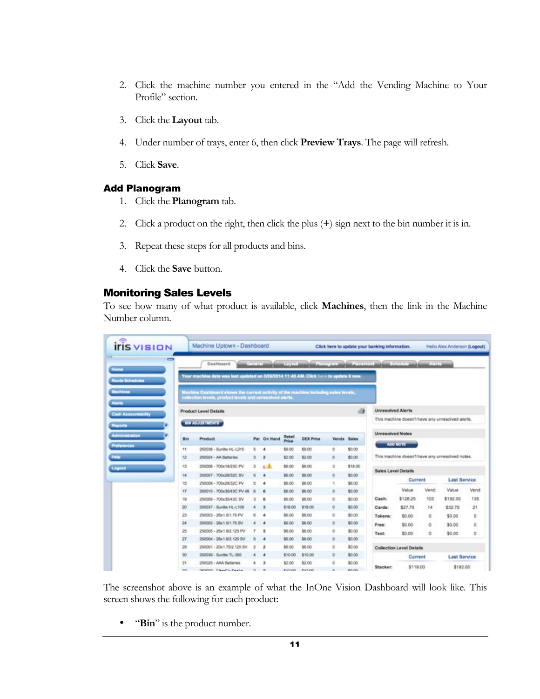- 2. Click the machine number you entered in the "Add the Vending Machine to Your Profile" section.
- 3. Click the **Layout** tab.
- 4. Under number of trays, enter 6, then click **Preview Trays**. The page will refresh.
- 5. Click **Save**.

#### Add Planogram

- 1. Click the **Planogram** tab.
- 2. Click a product on the right, then click the plus (**+**) sign next to the bin number it is in.
- 3. Repeat these steps for all products and bins.
- 4. Click the **Save** button.

#### Monitoring Sales Levels

To see how many of what product is available, click **Machines**, then the link in the Machine Number column.

|     | Dashboard                                                                                    |                                                                                                                                                                                                                                           |                                                                    |                                                                                                   |                                                                                                                                                            |                                                                                                              |                                                         |                                                                                                                                                                                                                                                                                    |                                                                             |                                                                                                                                                                                          |                                                                        |                                                                                                                                                                                                                                                               |
|-----|----------------------------------------------------------------------------------------------|-------------------------------------------------------------------------------------------------------------------------------------------------------------------------------------------------------------------------------------------|--------------------------------------------------------------------|---------------------------------------------------------------------------------------------------|------------------------------------------------------------------------------------------------------------------------------------------------------------|--------------------------------------------------------------------------------------------------------------|---------------------------------------------------------|------------------------------------------------------------------------------------------------------------------------------------------------------------------------------------------------------------------------------------------------------------------------------------|-----------------------------------------------------------------------------|------------------------------------------------------------------------------------------------------------------------------------------------------------------------------------------|------------------------------------------------------------------------|---------------------------------------------------------------------------------------------------------------------------------------------------------------------------------------------------------------------------------------------------------------|
|     |                                                                                              |                                                                                                                                                                                                                                           |                                                                    |                                                                                                   |                                                                                                                                                            |                                                                                                              |                                                         |                                                                                                                                                                                                                                                                                    |                                                                             |                                                                                                                                                                                          |                                                                        |                                                                                                                                                                                                                                                               |
|     |                                                                                              |                                                                                                                                                                                                                                           |                                                                    |                                                                                                   |                                                                                                                                                            |                                                                                                              |                                                         |                                                                                                                                                                                                                                                                                    |                                                                             |                                                                                                                                                                                          |                                                                        |                                                                                                                                                                                                                                                               |
|     |                                                                                              |                                                                                                                                                                                                                                           |                                                                    |                                                                                                   |                                                                                                                                                            |                                                                                                              |                                                         |                                                                                                                                                                                                                                                                                    |                                                                             |                                                                                                                                                                                          |                                                                        |                                                                                                                                                                                                                                                               |
|     |                                                                                              |                                                                                                                                                                                                                                           |                                                                    |                                                                                                   |                                                                                                                                                            |                                                                                                              | $-13$                                                   |                                                                                                                                                                                                                                                                                    |                                                                             |                                                                                                                                                                                          |                                                                        |                                                                                                                                                                                                                                                               |
|     |                                                                                              |                                                                                                                                                                                                                                           |                                                                    |                                                                                                   |                                                                                                                                                            |                                                                                                              |                                                         |                                                                                                                                                                                                                                                                                    |                                                                             |                                                                                                                                                                                          |                                                                        |                                                                                                                                                                                                                                                               |
| Bin | <b>Product</b>                                                                               |                                                                                                                                                                                                                                           |                                                                    | Rotall                                                                                            | <b>DEX Price</b>                                                                                                                                           |                                                                                                              |                                                         |                                                                                                                                                                                                                                                                                    |                                                                             |                                                                                                                                                                                          |                                                                        |                                                                                                                                                                                                                                                               |
|     |                                                                                              |                                                                                                                                                                                                                                           |                                                                    |                                                                                                   |                                                                                                                                                            |                                                                                                              |                                                         |                                                                                                                                                                                                                                                                                    |                                                                             |                                                                                                                                                                                          |                                                                        |                                                                                                                                                                                                                                                               |
|     |                                                                                              |                                                                                                                                                                                                                                           |                                                                    |                                                                                                   |                                                                                                                                                            |                                                                                                              |                                                         |                                                                                                                                                                                                                                                                                    |                                                                             |                                                                                                                                                                                          |                                                                        |                                                                                                                                                                                                                                                               |
|     |                                                                                              |                                                                                                                                                                                                                                           |                                                                    |                                                                                                   |                                                                                                                                                            |                                                                                                              |                                                         |                                                                                                                                                                                                                                                                                    |                                                                             |                                                                                                                                                                                          |                                                                        |                                                                                                                                                                                                                                                               |
|     |                                                                                              |                                                                                                                                                                                                                                           |                                                                    |                                                                                                   |                                                                                                                                                            |                                                                                                              |                                                         |                                                                                                                                                                                                                                                                                    |                                                                             |                                                                                                                                                                                          |                                                                        |                                                                                                                                                                                                                                                               |
|     |                                                                                              |                                                                                                                                                                                                                                           |                                                                    |                                                                                                   |                                                                                                                                                            |                                                                                                              |                                                         |                                                                                                                                                                                                                                                                                    |                                                                             |                                                                                                                                                                                          |                                                                        |                                                                                                                                                                                                                                                               |
|     |                                                                                              |                                                                                                                                                                                                                                           |                                                                    |                                                                                                   |                                                                                                                                                            |                                                                                                              |                                                         |                                                                                                                                                                                                                                                                                    | Value                                                                       | <b>Vend</b>                                                                                                                                                                              | Value                                                                  | Vend                                                                                                                                                                                                                                                          |
|     |                                                                                              | 3                                                                                                                                                                                                                                         | в                                                                  |                                                                                                   | \$6.00                                                                                                                                                     |                                                                                                              |                                                         | Cash:                                                                                                                                                                                                                                                                              | \$128.25                                                                    | 103                                                                                                                                                                                      |                                                                        | 135                                                                                                                                                                                                                                                           |
| 20  | 250037 - Sunita HL-L109                                                                      | ٠                                                                                                                                                                                                                                         | з                                                                  | \$18.00                                                                                           | \$18.00                                                                                                                                                    | o                                                                                                            | \$0.00                                                  | Cards:                                                                                                                                                                                                                                                                             | \$27.75                                                                     | 14                                                                                                                                                                                       | \$32.75                                                                | 21                                                                                                                                                                                                                                                            |
| 23  | 250003 - 26x1.5/1.75 PV                                                                      | ñ                                                                                                                                                                                                                                         | ٠                                                                  | \$6.00                                                                                            | \$6.00                                                                                                                                                     | n.                                                                                                           | \$0.00                                                  |                                                                                                                                                                                                                                                                                    |                                                                             | ۰                                                                                                                                                                                        |                                                                        | o                                                                                                                                                                                                                                                             |
| 24  | 250002 - 26x1.5/1.75 SV                                                                      |                                                                                                                                                                                                                                           | $\bullet$                                                          | \$6.00                                                                                            | \$6.00                                                                                                                                                     | ö                                                                                                            | \$0.00                                                  |                                                                                                                                                                                                                                                                                    |                                                                             | ō                                                                                                                                                                                        |                                                                        | ũ                                                                                                                                                                                                                                                             |
| 25  | 250005 - 26x1 9/2 125 PV                                                                     | r                                                                                                                                                                                                                                         | в                                                                  | \$6.00                                                                                            | \$6.00                                                                                                                                                     | ۰                                                                                                            | \$0.00                                                  |                                                                                                                                                                                                                                                                                    |                                                                             |                                                                                                                                                                                          |                                                                        | ٥                                                                                                                                                                                                                                                             |
| 27  | 250004 - 26x1.9/2.125.5V                                                                     | Б                                                                                                                                                                                                                                         | ۰                                                                  | \$6.00                                                                                            | \$6.00                                                                                                                                                     | ×                                                                                                            | \$0.00                                                  |                                                                                                                                                                                                                                                                                    |                                                                             |                                                                                                                                                                                          |                                                                        |                                                                                                                                                                                                                                                               |
| 29  | 250001 - 20x1.75/2.125.8V                                                                    | 2                                                                                                                                                                                                                                         | ż                                                                  | \$6.00                                                                                            | \$6.00                                                                                                                                                     | ¢                                                                                                            | \$0.00                                                  |                                                                                                                                                                                                                                                                                    |                                                                             |                                                                                                                                                                                          |                                                                        |                                                                                                                                                                                                                                                               |
| 30  | 250039 - Sunite TL-350                                                                       |                                                                                                                                                                                                                                           | ٠                                                                  | \$10.00                                                                                           | \$10.00                                                                                                                                                    | ŭ                                                                                                            | \$0.00                                                  |                                                                                                                                                                                                                                                                                    |                                                                             |                                                                                                                                                                                          |                                                                        |                                                                                                                                                                                                                                                               |
| 31  | 250025 - AAA Batteries                                                                       | ۵                                                                                                                                                                                                                                         | э                                                                  | \$2.00                                                                                            | \$2.00                                                                                                                                                     | ă                                                                                                            | \$0.00                                                  |                                                                                                                                                                                                                                                                                    |                                                                             |                                                                                                                                                                                          |                                                                        |                                                                                                                                                                                                                                                               |
|     | <b>iris</b> vision<br>$\Rightarrow$<br>11<br>12<br>13<br>14<br>15<br>17<br>19<br><b>DOM:</b> | Product Level Details<br>BIN ADJUSTMENTS<br>250038 - Sunita HL-L210<br>250024 - AA Batteries<br>250006 - 700x18/23C PV<br>250007 - 700x28/32C SV<br>250008 - 700x28/32C PV<br>250009 - 700x35/43C SV<br><b>NEWMAN</b> Pressures President | s.<br>з<br>э<br>6<br>ß<br>250010 - 700x35/43C PV 48<br>6<br>$\sim$ | Machine Uptown - Dashboard<br>Par On Hand<br>٠<br>2<br>6.41<br>$\overline{4}$<br>٠<br>6<br>$\sim$ | collection levels, product levels and unresolved sterts.<br>Price<br>\$9.00<br>\$2.00<br>\$6.00<br>\$6.00<br>\$6.00<br>\$6.00<br>\$6.00<br><b>BUILDING</b> | <b>Control modeling Freedo</b><br>\$9.00<br>\$2.00<br>\$6.00<br>\$6.00<br>\$6.00<br>\$6.00<br><b>BUILDER</b> | õ<br>ø<br>э<br>×<br>$\mathcal{R}$<br>a.<br>a.<br>$\sim$ | Your machine data was last updated on 3/26/2014 11:40 AM, Click have to update it now.<br>Machine Dashboard shows the current ectivity of the machine locksting sales levels,<br>Vends Sales<br>\$0.00<br>\$0.00<br>\$18.00<br>\$0.00<br>\$6.00<br>\$0.00<br>\$0.00<br>draw yours. | <b>Street in the President Was</b><br>Tokens:<br>Free:<br>Test:<br>Stacker: | Click here to update your banking information.<br><b>SECONDA</b><br><b>Unresolved Alerts</b><br><b>Unresolved Notes</b><br>ADD NOTE<br>Sales Level Details<br>\$0.00<br>\$0.00<br>\$0.00 | Current<br>ō<br><b>Collection Level Details</b><br>Current<br>\$118.00 | Helio Alex Anderson (Legout)<br><b>Alternative</b><br>This machine doesn't have eny unresolved alerts.<br>This machine doesn't have any unresolved notes.<br><b>Last Service</b><br>\$192.00<br>\$0.00<br>\$0.00<br>\$0.00<br><b>Last Service</b><br>\$182.00 |

The screenshot above is an example of what the InOne Vision Dashboard will look like. This screen shows the following for each product:

• "**Bin**" is the product number.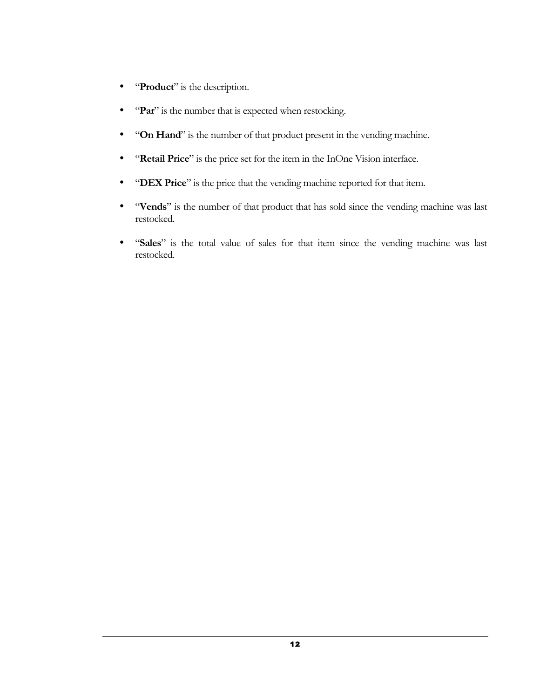- "**Product**" is the description.
- "Par" is the number that is expected when restocking.
- "**On Hand**" is the number of that product present in the vending machine.
- "**Retail Price**" is the price set for the item in the InOne Vision interface.
- "**DEX Price**" is the price that the vending machine reported for that item.
- "**Vends**" is the number of that product that has sold since the vending machine was last restocked.
- "Sales" is the total value of sales for that item since the vending machine was last restocked.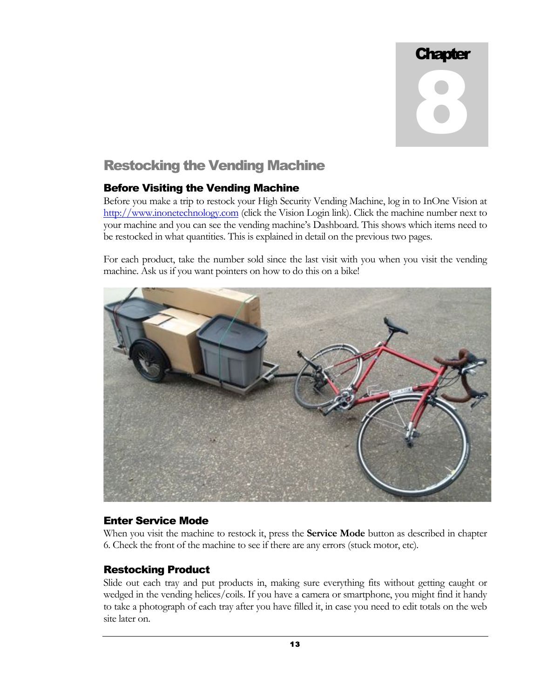8

# Restocking the Vending Machine

# Before Visiting the Vending Machine

Before you make a trip to restock your High Security Vending Machine, log in to InOne Vision at http://www.inonetechnology.com (click the Vision Login link). Click the machine number next to your machine and you can see the vending machine's Dashboard. This shows which items need to be restocked in what quantities. This is explained in detail on the previous two pages.

For each product, take the number sold since the last visit with you when you visit the vending machine. Ask us if you want pointers on how to do this on a bike!



## Enter Service Mode

When you visit the machine to restock it, press the **Service Mode** button as described in chapter 6. Check the front of the machine to see if there are any errors (stuck motor, etc).

## Restocking Product

Slide out each tray and put products in, making sure everything fits without getting caught or wedged in the vending helices/coils. If you have a camera or smartphone, you might find it handy to take a photograph of each tray after you have filled it, in case you need to edit totals on the web site later on.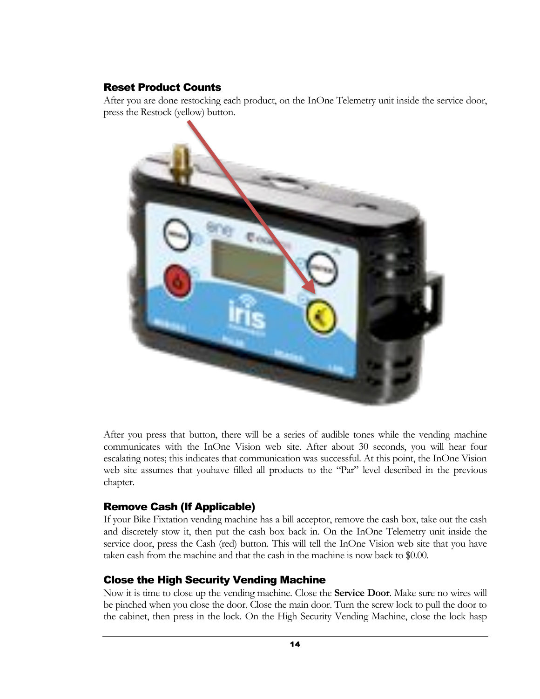# Reset Product Counts

After you are done restocking each product, on the InOne Telemetry unit inside the service door, press the Restock (yellow) button.



After you press that button, there will be a series of audible tones while the vending machine communicates with the InOne Vision web site. After about 30 seconds, you will hear four escalating notes; this indicates that communication was successful. At this point, the InOne Vision web site assumes that youhave filled all products to the "Par" level described in the previous chapter.

# Remove Cash (If Applicable)

If your Bike Fixtation vending machine has a bill acceptor, remove the cash box, take out the cash and discretely stow it, then put the cash box back in. On the InOne Telemetry unit inside the service door, press the Cash (red) button. This will tell the InOne Vision web site that you have taken cash from the machine and that the cash in the machine is now back to \$0.00.

# Close the High Security Vending Machine

Now it is time to close up the vending machine. Close the **Service Door**. Make sure no wires will be pinched when you close the door. Close the main door. Turn the screw lock to pull the door to the cabinet, then press in the lock. On the High Security Vending Machine, close the lock hasp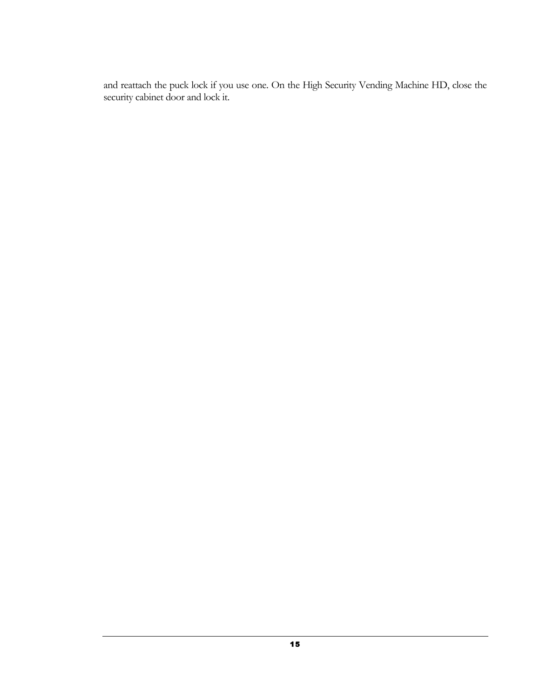and reattach the puck lock if you use one. On the High Security Vending Machine HD, close the security cabinet door and lock it.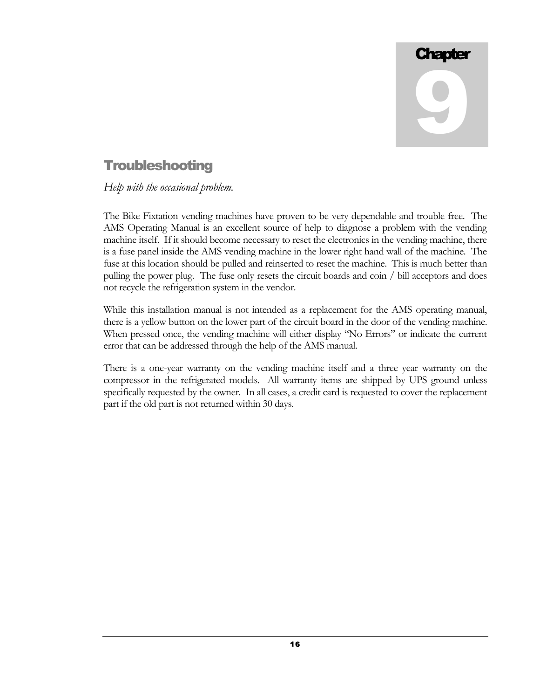# Troubleshooting

*Help with the occasional problem.*

The Bike Fixtation vending machines have proven to be very dependable and trouble free. The AMS Operating Manual is an excellent source of help to diagnose a problem with the vending machine itself. If it should become necessary to reset the electronics in the vending machine, there is a fuse panel inside the AMS vending machine in the lower right hand wall of the machine. The fuse at this location should be pulled and reinserted to reset the machine. This is much better than pulling the power plug. The fuse only resets the circuit boards and coin / bill acceptors and does not recycle the refrigeration system in the vendor.

While this installation manual is not intended as a replacement for the AMS operating manual, there is a yellow button on the lower part of the circuit board in the door of the vending machine. When pressed once, the vending machine will either display "No Errors" or indicate the current error that can be addressed through the help of the AMS manual.

There is a one-year warranty on the vending machine itself and a three year warranty on the compressor in the refrigerated models. All warranty items are shipped by UPS ground unless specifically requested by the owner. In all cases, a credit card is requested to cover the replacement part if the old part is not returned within 30 days.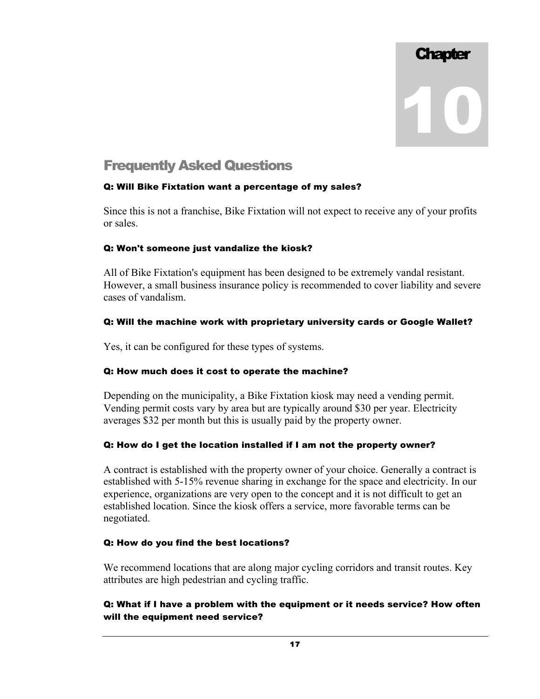# Frequently Asked Questions

## Q: Will Bike Fixtation want a percentage of my sales?

Since this is not a franchise, Bike Fixtation will not expect to receive any of your profits or sales.

#### Q: Won't someone just vandalize the kiosk?

All of Bike Fixtation's equipment has been designed to be extremely vandal resistant. However, a small business insurance policy is recommended to cover liability and severe cases of vandalism.

#### Q: Will the machine work with proprietary university cards or Google Wallet?

Yes, it can be configured for these types of systems.

## Q: How much does it cost to operate the machine?

Depending on the municipality, a Bike Fixtation kiosk may need a vending permit. Vending permit costs vary by area but are typically around \$30 per year. Electricity averages \$32 per month but this is usually paid by the property owner.

## Q: How do I get the location installed if I am not the property owner?

A contract is established with the property owner of your choice. Generally a contract is established with 5-15% revenue sharing in exchange for the space and electricity. In our experience, organizations are very open to the concept and it is not difficult to get an established location. Since the kiosk offers a service, more favorable terms can be negotiated.

#### Q: How do you find the best locations?

We recommend locations that are along major cycling corridors and transit routes. Key attributes are high pedestrian and cycling traffic.

## Q: What if I have a problem with the equipment or it needs service? How often will the equipment need service?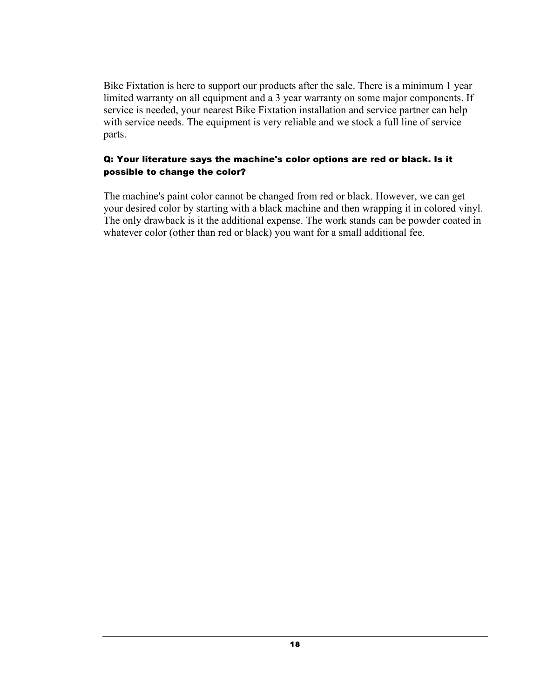Bike Fixtation is here to support our products after the sale. There is a minimum 1 year limited warranty on all equipment and a 3 year warranty on some major components. If service is needed, your nearest Bike Fixtation installation and service partner can help with service needs. The equipment is very reliable and we stock a full line of service parts.

#### Q: Your literature says the machine's color options are red or black. Is it possible to change the color?

The machine's paint color cannot be changed from red or black. However, we can get your desired color by starting with a black machine and then wrapping it in colored vinyl. The only drawback is it the additional expense. The work stands can be powder coated in whatever color (other than red or black) you want for a small additional fee.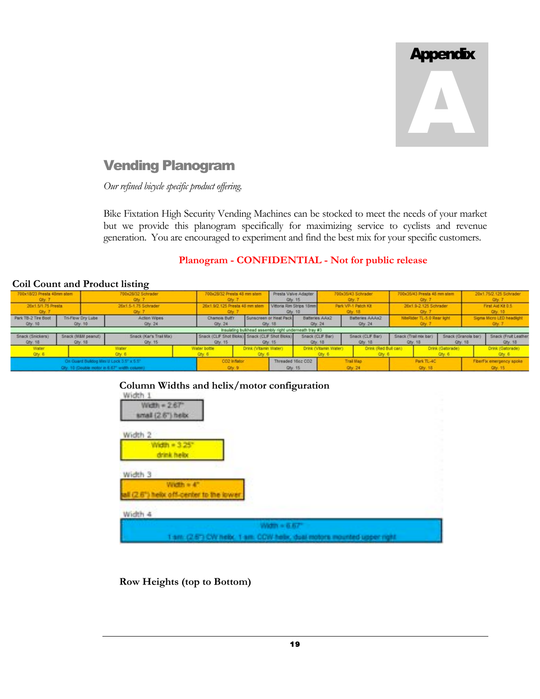

# Vending Planogram

*Our refined bicycle specific product offering.*

Bike Fixtation High Security Vending Machines can be stocked to meet the needs of your market but we provide this planogram specifically for maximizing service to cyclists and revenue generation. You are encouraged to experiment and find the best mix for your specific customers.

## **Planogram - CONFIDENTIAL - Not for public release**

|                                                                                          | Con Count and I found is the  |                                   |                                                          |                                                        |                                   |                                     |                                |                                                         |                                       |  |                                 |                                 |                                     |  |
|------------------------------------------------------------------------------------------|-------------------------------|-----------------------------------|----------------------------------------------------------|--------------------------------------------------------|-----------------------------------|-------------------------------------|--------------------------------|---------------------------------------------------------|---------------------------------------|--|---------------------------------|---------------------------------|-------------------------------------|--|
| 700x18/23 Presta 48mm stem<br>700x28/32 Schrader<br>Qty. 7<br>Oty.                       |                               |                                   |                                                          | 700x28/32 Presta 48 mm stem                            |                                   |                                     |                                | 700x35/43 Schrader<br>Qty.7                             | 700x35/43 Presta 48 mm stem<br>Otv. 7 |  |                                 | 20x1.75/2.125 Schrader<br>Qxy.7 |                                     |  |
| 26x1.5/1.75 Presta                                                                       |                               | 26x1.5-1.75 Schrader<br>Qty.      |                                                          | 26x1.9/2.125 Presta 48 mm ste                          |                                   | Vittoria Rim Strips 18mm<br>Qty. 10 |                                | Park VP-1 Patch Kit<br>26x1.9-2.125 Schrader<br>Qtv. 18 |                                       |  |                                 | First Aid Kit 0.5<br>Oby. 10    |                                     |  |
| Park TB-2 Tire Boot<br>City, 10                                                          | Tri-Flow Dry Lube<br>Qty. 10  | Action Wipes<br>Qty 24            | Chamois Butt'r<br>Otv. 24                                |                                                        | Sunscreen or Heat Pack<br>Qty, 18 | Batteries AAx2<br>Oly. 24           |                                | Batteries AAAx2<br>Oty. 24                              | NäeRider TL-5.0 Rear light<br>Otv. 7  |  |                                 |                                 | Sigma Micro LED headlight<br>Oby.   |  |
|                                                                                          |                               |                                   |                                                          | Insulating buildhead assembly right underneath tray #3 |                                   |                                     |                                |                                                         |                                       |  |                                 |                                 |                                     |  |
| Snack (Snickers)<br>Qty. 18                                                              | Snack (M&M peanut)<br>Qty. 18 | Snack (Kar's Trail Mbc)<br>Qty 15 | Snack (CLF Shot Bloks) Snack (CLF Shot Bloks)<br>Qty. 15 |                                                        | Qty. 15                           | Dry. 18                             | Snack (CLIF Bar)               | Snack (CLIF Bar)<br>$Qty$ 18                            | Snack (Trail mo: bar)<br>City: 18     |  | Snack (Granola bar)<br>$Qty$ 18 |                                 | Snack (Fruit Leather)<br>City, 18   |  |
| Water<br>Qty 6                                                                           |                               | <b>Water</b><br>$0$ iy. $6$       | Water bottle<br>Olly, 6                                  | Drink (Vitamin Water)<br>Oty. 6                        |                                   |                                     | Drink (Vitamin Water)<br>Qty.6 | Drink (Red Bull can)<br>Q(y, 6)                         |                                       |  | Drink (Gatorade)<br>Oty. 6      |                                 | Drink (Gatorade)<br>Qty. 6          |  |
| On Guard Buildog Mini U Lock 3.5" x 5.5"<br>Qty. 10 (Double motor in 6.67" width column) |                               |                                   |                                                          | CO2 Inflator<br>C(y, 9)                                |                                   |                                     | <b>Trail Map</b><br>Oty. 24    |                                                         | Park TL-4C<br><b>Oty. 18</b>          |  |                                 |                                 | FiberFix emergency spoke<br>Oly. 15 |  |

#### **Coil Count and Product listing**

# **Column Widths and helix/motor configuration**



**Row Heights (top to Bottom)**